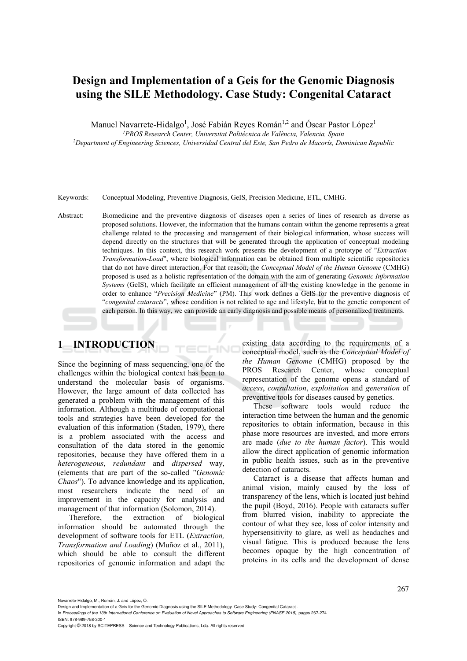# **Design and Implementation of a Geis for the Genomic Diagnosis using the SILE Methodology. Case Study: Congenital Cataract**

Manuel Navarrete-Hidalgo<sup>1</sup>, José Fabián Reyes Román<sup>1,2</sup> and Óscar Pastor López<sup>1</sup>

*1PROS Research Center, Universitat Politècnica de València, Valencia, Spain 2Department of Engineering Sciences, Universidad Central del Este, San Pedro de Macorís, Dominican Republic* 

Keywords: Conceptual Modeling, Preventive Diagnosis, GeIS, Precision Medicine, ETL, CMHG.

ECHNO

Abstract: Biomedicine and the preventive diagnosis of diseases open a series of lines of research as diverse as proposed solutions. However, the information that the humans contain within the genome represents a great challenge related to the processing and management of their biological information, whose success will depend directly on the structures that will be generated through the application of conceptual modeling techniques. In this context, this research work presents the development of a prototype of "*Extraction-Transformation-Load*", where biological information can be obtained from multiple scientific repositories that do not have direct interaction. For that reason, the *Conceptual Model of the Human Genome* (CMHG) proposed is used as a holistic representation of the domain with the aim of generating *Genomic Information Systems* (GeIS), which facilitate an efficient management of all the existing knowledge in the genome in order to enhance "*Precision Medicine*" (PM). This work defines a GeIS for the preventive diagnosis of "*congenital cataracts*", whose condition is not related to age and lifestyle, but to the genetic component of each person. In this way, we can provide an early diagnosis and possible means of personalized treatments.

# **1 INTRODUCTION**

Since the beginning of mass sequencing, one of the challenges within the biological context has been to understand the molecular basis of organisms. However, the large amount of data collected has generated a problem with the management of this information. Although a multitude of computational tools and strategies have been developed for the evaluation of this information (Staden, 1979), there is a problem associated with the access and consultation of the data stored in the genomic repositories, because they have offered them in a *heterogeneous*, *redundant* and *dispersed* way, (elements that are part of the so-called "*Genomic Chaos*"). To advance knowledge and its application, most researchers indicate the need of an improvement in the capacity for analysis and management of that information (Solomon, 2014).

Therefore, the extraction of biological information should be automated through the development of software tools for ETL (*Extraction, Transformation and Loading*) (Muñoz et al., 2011), which should be able to consult the different repositories of genomic information and adapt the

existing data according to the requirements of a conceptual model, such as the *Conceptual Model of the Human Genome* (CMHG) proposed by the PROS Research Center, whose conceptual representation of the genome opens a standard of *access*, *consultation*, *exploitation* and *generation* of preventive tools for diseases caused by genetics.

These software tools would reduce the interaction time between the human and the genomic repositories to obtain information, because in this phase more resources are invested, and more errors are made (*due to the human factor*). This would allow the direct application of genomic information in public health issues, such as in the preventive detection of cataracts.

Cataract is a disease that affects human and animal vision, mainly caused by the loss of transparency of the lens, which is located just behind the pupil (Boyd, 2016). People with cataracts suffer from blurred vision, inability to appreciate the contour of what they see, loss of color intensity and hypersensitivity to glare, as well as headaches and visual fatigue. This is produced because the lens becomes opaque by the high concentration of proteins in its cells and the development of dense

In *Proceedings of the 13th International Conference on Evaluation of Novel Approaches to Software Engineering (ENASE 2018)*, pages 267-274

ISBN: 978-989-758-300-1

Navarrete-Hidalgo, M., Román, J. and López, Ó.

Design and Implementation of a Geis for the Genomic Diagnosis using the SILE Methodology. Case Study: Congenital Cataract .

Copyright © 2018 by SCITEPRESS – Science and Technology Publications, Lda. All rights reserved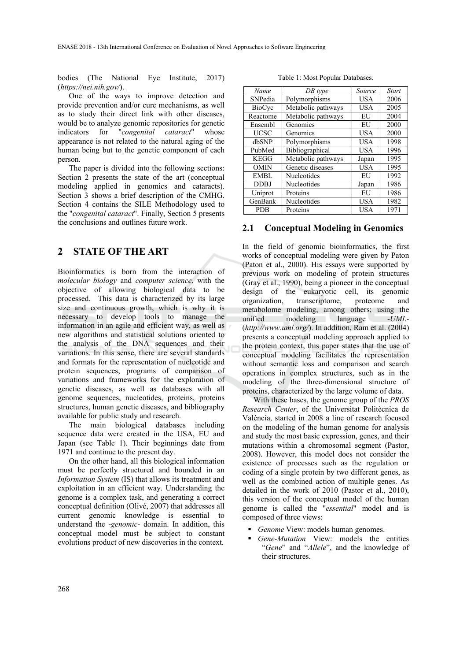bodies (The National Eye Institute, 2017) (*https://nei.nih.gov/*).

One of the ways to improve detection and provide prevention and/or cure mechanisms, as well as to study their direct link with other diseases, would be to analyze genomic repositories for genetic indicators for "*congenital cataract*" whose appearance is not related to the natural aging of the human being but to the genetic component of each person.

The paper is divided into the following sections: Section 2 presents the state of the art (conceptual modeling applied in genomics and cataracts). Section 3 shows a brief description of the CMHG. Section 4 contains the SILE Methodology used to the "*congenital cataract*". Finally, Section 5 presents the conclusions and outlines future work.

## **2 STATE OF THE ART**

Bioinformatics is born from the interaction of *molecular biology* and *computer science*, with the objective of allowing biological data to be processed. This data is characterized by its large size and continuous growth, which is why it is necessary to develop tools to manage the information in an agile and efficient way, as well as new algorithms and statistical solutions oriented to the analysis of the DNA sequences and their variations. In this sense, there are several standards and formats for the representation of nucleotide and protein sequences, programs of comparison of variations and frameworks for the exploration of genetic diseases, as well as databases with all genome sequences, nucleotides, proteins, proteins structures, human genetic diseases, and bibliography available for public study and research.

The main biological databases including sequence data were created in the USA, EU and Japan (see Table 1). Their beginnings date from 1971 and continue to the present day.

On the other hand, all this biological information must be perfectly structured and bounded in an *Information System* (IS) that allows its treatment and exploitation in an efficient way. Understanding the genome is a complex task, and generating a correct conceptual definition (Olivé, 2007) that addresses all current genomic knowledge is essential to understand the -*genomic*- domain. In addition, this conceptual model must be subject to constant evolutions product of new discoveries in the context.

Table 1: Most Popular Databases.

| DB type            | Source     | <b>Start</b> |
|--------------------|------------|--------------|
| Polymorphisms      | USA        | 2006         |
| Metabolic pathways | <b>USA</b> | 2005         |
| Metabolic pathways | EU         | 2004         |
| Genomics           | EU         | 2000         |
| Genomics           | <b>USA</b> | 2000         |
| Polymorphisms      | <b>USA</b> | 1998         |
| Bibliographical    | <b>USA</b> | 1996         |
| Metabolic pathways | Japan      | 1995         |
| Genetic diseases   | <b>USA</b> | 1995         |
| Nucleotides        | EU         | 1992         |
| Nucleotides        | Japan      | 1986         |
| Proteins           | EU         | 1986         |
| Nucleotides        | <b>USA</b> | 1982         |
| Proteins           | USA        | 1971         |
|                    |            |              |

### **2.1 Conceptual Modeling in Genomics**

In the field of genomic bioinformatics, the first works of conceptual modeling were given by Paton (Paton et al., 2000). His essays were supported by previous work on modeling of protein structures (Gray et al., 1990), being a pioneer in the conceptual design of the eukaryotic cell, its genomic organization, transcriptome, proteome and metabolome modeling, among others; using the unified modeling language -*UML*- (*http://www.uml.org/*). In addition, Ram et al. (2004) presents a conceptual modeling approach applied to the protein context, this paper states that the use of conceptual modeling facilitates the representation without semantic loss and comparison and search operations in complex structures, such as in the modeling of the three-dimensional structure of proteins, characterized by the large volume of data.

With these bases, the genome group of the *PROS Research Center*, of the Universitat Politècnica de València, started in 2008 a line of research focused on the modeling of the human genome for analysis and study the most basic expression, genes, and their mutations within a chromosomal segment (Pastor, 2008). However, this model does not consider the existence of processes such as the regulation or coding of a single protein by two different genes, as well as the combined action of multiple genes. As detailed in the work of 2010 (Pastor et al., 2010), this version of the conceptual model of the human genome is called the "*essential*" model and is composed of three views:

- *Genome* View: models human genomes.
- *Gene-Mutation* View: models the entities "*Gene*" and "*Allele*", and the knowledge of their structures.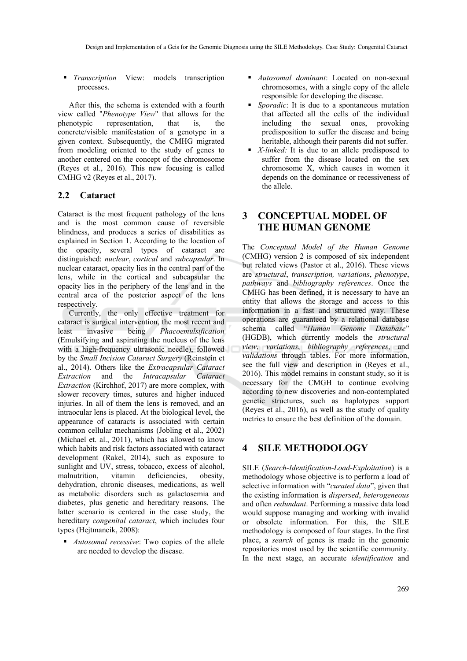*Transcription* View: models transcription processes.

After this, the schema is extended with a fourth view called "*Phenotype View*" that allows for the phenotypic representation, that is, the concrete/visible manifestation of a genotype in a given context. Subsequently, the CMHG migrated from modeling oriented to the study of genes to another centered on the concept of the chromosome (Reyes et al., 2016). This new focusing is called CMHG v2 (Reyes et al., 2017).

## **2.2 Cataract**

Cataract is the most frequent pathology of the lens and is the most common cause of reversible blindness, and produces a series of disabilities as explained in Section 1. According to the location of the opacity, several types of cataract are distinguished: *nuclear*, *cortical* and *subcapsular*. In nuclear cataract, opacity lies in the central part of the lens, while in the cortical and subcapsular the opacity lies in the periphery of the lens and in the central area of the posterior aspect of the lens respectively.

Currently, the only effective treatment for cataract is surgical intervention, the most recent and least invasive being *Phacoemulsification*  (Emulsifying and aspirating the nucleus of the lens with a high-frequency ultrasonic needle), followed by the *Small Incision Cataract Surgery* (Reinstein et al., 2014). Others like the *Extracapsular Cataract Extraction* and the *Intracapsular Cataract Extraction* (Kirchhof, 2017) are more complex, with slower recovery times, sutures and higher induced injuries. In all of them the lens is removed, and an intraocular lens is placed. At the biological level, the appearance of cataracts is associated with certain common cellular mechanisms (Jobling et al., 2002) (Michael et. al., 2011), which has allowed to know which habits and risk factors associated with cataract development (Rakel, 2014), such as exposure to sunlight and UV, stress, tobacco, excess of alcohol, malnutrition, vitamin deficiencies, obesity, dehydration, chronic diseases, medications, as well as metabolic disorders such as galactosemia and diabetes, plus genetic and hereditary reasons. The latter scenario is centered in the case study, the hereditary *congenital cataract*, which includes four types (Hejtmancik, 2008):

 *Autosomal recessive*: Two copies of the allele are needed to develop the disease.

- *Autosomal dominant*: Located on non-sexual chromosomes, with a single copy of the allele responsible for developing the disease.
- *Sporadic*: It is due to a spontaneous mutation that affected all the cells of the individual including the sexual ones, provoking predisposition to suffer the disease and being heritable, although their parents did not suffer.
- *X-linked:* It is due to an allele predisposed to suffer from the disease located on the sex chromosome X, which causes in women it depends on the dominance or recessiveness of the allele.

## **3 CONCEPTUAL MODEL OF THE HUMAN GENOME**

The *Conceptual Model of the Human Genome* (CMHG) version 2 is composed of six independent but related views (Pastor et al., 2016). These views are *structural*, *transcription, variations*, *phenotype*, *pathways* and *bibliography references*. Once the CMHG has been defined, it is necessary to have an entity that allows the storage and access to this information in a fast and structured way. These operations are guaranteed by a relational database schema called "*Human Genome Database*" (HGDB), which currently models the *structural view*, *variations*, *bibliography references*, and *validations* through tables. For more information, see the full view and description in (Reyes et al., 2016). This model remains in constant study, so it is necessary for the CMGH to continue evolving according to new discoveries and non-contemplated genetic structures, such as haplotypes support (Reyes et al., 2016), as well as the study of quality metrics to ensure the best definition of the domain.

## **4 SILE METHODOLOGY**

SILE (*Search-Identification-Load-Exploitation*) is a methodology whose objective is to perform a load of selective information with "*curated data*", given that the existing information is *dispersed*, *heterogeneous* and often *redundant*. Performing a massive data load would suppose managing and working with invalid or obsolete information. For this, the SILE methodology is composed of four stages. In the first place, a *search* of genes is made in the genomic repositories most used by the scientific community. In the next stage, an accurate *identification* and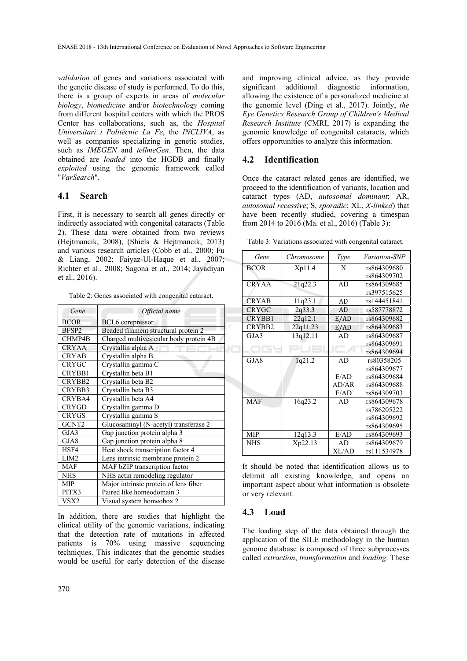*validation* of genes and variations associated with the genetic disease of study is performed. To do this, there is a group of experts in areas of *molecular biology*, *biomedicine* and/or *biotechnology* coming from different hospital centers with which the PROS Center has collaborations, such as, the *Hospital Universitari i Politècnic La Fe*, the *INCLIVA*, as well as companies specializing in genetic studies, such as *IMEGEN* and *tellmeGen*. Then, the data obtained are *loaded* into the HGDB and finally *exploited* using the genomic framework called "*VarSearch*".

#### **4.1 Search**

First, it is necessary to search all genes directly or indirectly associated with congenital cataracts (Table 2). These data were obtained from two reviews (Hejtmancik, 2008), (Shiels & Hejtmancik, 2013) and various research articles (Cobb et al., 2000; Fu & Liang, 2002; Faiyaz-Ul-Haque et al., 2007; Richter et al., 2008; Sagona et at., 2014; Javadiyan et al., 2016).

Table 2: Genes associated with congenital cataract.

| Gene              | Official name                          |
|-------------------|----------------------------------------|
| <b>BCOR</b>       | BCL6 corepressor                       |
| BFSP2             | Beaded filament structural protein 2   |
| CHMP4B            | Charged multivesicular body protein 4B |
| <b>CRYAA</b>      | Crystallin alpha A                     |
| <b>CRYAB</b>      | Crystallin alpha B                     |
| <b>CRYGC</b>      | Crystallin gamma C                     |
| CRYBB1            | Crystallin beta B1                     |
| CRYBB2            | Crystallin beta B2                     |
| CRYBB3            | Crystallin beta B3                     |
| CRYBA4            | Crystallin beta A4                     |
| <b>CRYGD</b>      | Crystallin gamma D                     |
| <b>CRYGS</b>      | Crystallin gamma S                     |
| GCNT <sub>2</sub> | Glucosaminyl (N-acetyl) transferase 2  |
| GJA3              | Gap junction protein alpha 3           |
| GJA8              | Gap junction protein alpha 8           |
| HSF4              | Heat shock transcription factor 4      |
| LIM <sub>2</sub>  | Lens intrinsic membrane protein 2      |
| <b>MAF</b>        | MAF bZIP transcription factor          |
| <b>NHS</b>        | NHS actin remodeling regulator         |
| <b>MIP</b>        | Major intrinsic protein of lens fiber  |
| PITX3             | Paired like homeodomain 3              |
| VSX <sub>2</sub>  | Visual system homeobox 2               |

In addition, there are studies that highlight the clinical utility of the genomic variations, indicating that the detection rate of mutations in affected patients is 70% using massive sequencing techniques. This indicates that the genomic studies would be useful for early detection of the disease

and improving clinical advice, as they provide significant additional diagnostic information, allowing the existence of a personalized medicine at the genomic level (Ding et al., 2017). Jointly, *the Eye Genetics Research Group of Children's Medical Research Institute* (CMRI, 2017) is expanding the genomic knowledge of congenital cataracts, which offers opportunities to analyze this information.

### **4.2 Identification**

Once the cataract related genes are identified, we proceed to the identification of variants, location and cataract types (AD, *autosomal dominant*; AR, *autosomal recessive*; S, *sporadic*; XL, *X-linked*) that have been recently studied, covering a timespan from 2014 to 2016 (Ma. et al., 2016) (Table 3):

Table 3: Variations associated with congenital cataract.

| Gene         | Chromosome | Type  | <i>Variation-SNP</i> |
|--------------|------------|-------|----------------------|
| <b>BCOR</b>  | Xp11.4     | X     | rs864309680          |
|              |            |       | rs864309702          |
| <b>CRYAA</b> | 21q22.3    | AD    | rs864309685          |
|              |            |       | rs397515625          |
| <b>CRYAB</b> | 11q23.1    | AD    | rs144451841          |
| CRYGC        | 2q33.3     | AD    | rs587778872          |
| CRYBB1       | 22q12.1    | E/AD  | rs864309682          |
| CRYBB2       | 22q11.23   | E/AD  | rs864309683          |
| GJA3         | 13q12.11   | AD    | rs864309687          |
|              |            |       | rs864309691          |
| 7 G I        |            |       | rs864309694          |
| GJA8         | 1q21.2     | AD    | rs80358205           |
|              |            |       | rs864309677          |
|              |            | E/AD  | rs864309684          |
|              |            | AD/AR | rs864309688          |
|              |            | E/AD  | rs864309703          |
| <b>MAF</b>   | 16q23.2    | AD    | rs864309678          |
|              |            |       | rs786205222          |
|              |            |       | rs864309692          |
|              |            |       | rs864309695          |
| <b>MIP</b>   | 12q13.3    | E/AD  | rs864309693          |
| <b>NHS</b>   | Xp22.13    | AD    | rs864309679          |
|              |            | XL/AD | rs111534978          |

It should be noted that identification allows us to delimit all existing knowledge, and opens an important aspect about what information is obsolete or very relevant.

#### **4.3 Load**

The loading step of the data obtained through the application of the SILE methodology in the human genome database is composed of three subprocesses called *extraction*, *transformation* and *loading*. These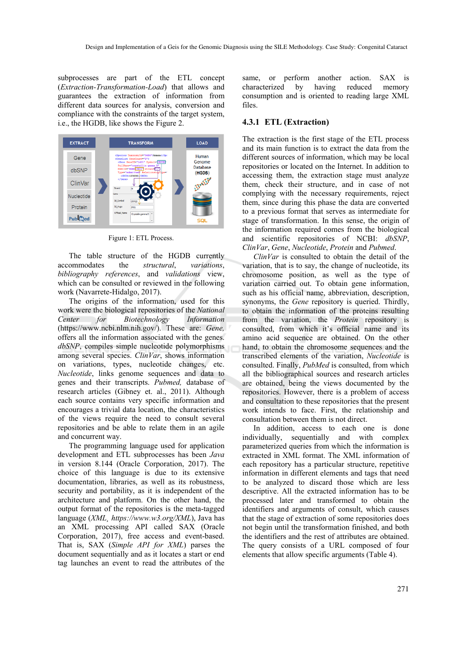subprocesses are part of the ETL concept (*Extraction-Transformation-Load*) that allows and guarantees the extraction of information from different data sources for analysis, conversion and compliance with the constraints of the target system, i.e., the HGDB, like shows the Figure 2.



Figure 1: ETL Process.

The table structure of the HGDB currently accommodates the *structural*, *variations*, *bibliography references*, and *validations* view, which can be consulted or reviewed in the following work (Navarrete-Hidalgo, 2017).

The origins of the information, used for this work were the biological repositories of the *National Center for Biotechnology Information* (https://www.ncbi.nlm.nih.gov/). These are: *Gene,* offers all the information associated with the genes. *dbSNP*, compiles simple nucleotide polymorphisms among several species. *ClinVar*, shows information on variations, types, nucleotide changes, etc. *Nucleotide*, links genome sequences and data to genes and their transcripts. *Pubmed,* database of research articles (Gibney et. al., 2011). Although each source contains very specific information and encourages a trivial data location, the characteristics of the views require the need to consult several repositories and be able to relate them in an agile and concurrent way.

The programming language used for application development and ETL subprocesses has been *Java* in version 8.144 (Oracle Corporation, 2017). The choice of this language is due to its extensive documentation, libraries, as well as its robustness, security and portability, as it is independent of the architecture and platform. On the other hand, the output format of the repositories is the meta-tagged language (*XML¸ https://www.w3.org/XML*), Java has an XML processing API called SAX (Oracle Corporation, 2017), free access and event-based. That is, SAX (*Simple API for XML*) parses the document sequentially and as it locates a start or end tag launches an event to read the attributes of the

same, or perform another action. SAX is characterized by having reduced memory consumption and is oriented to reading large XML files.

#### **4.3.1 ETL (Extraction)**

The extraction is the first stage of the ETL process and its main function is to extract the data from the different sources of information, which may be local repositories or located on the Internet. In addition to accessing them, the extraction stage must analyze them, check their structure, and in case of not complying with the necessary requirements, reject them, since during this phase the data are converted to a previous format that serves as intermediate for stage of transformation. In this sense, the origin of the information required comes from the biological and scientific repositories of NCBI: *dbSNP*, *ClinVar*, *Gene*, *Nucleotide*, *Protein* and *Pubmed*.

*ClinVar* is consulted to obtain the detail of the variation, that is to say, the change of nucleotide, its chromosome position, as well as the type of variation carried out. To obtain gene information, such as his official name, abbreviation, description, synonyms, the *Gene* repository is queried. Thirdly, to obtain the information of the proteins resulting from the variation, the *Protein* repository is consulted, from which it's official name and its amino acid sequence are obtained. On the other hand, to obtain the chromosome sequences and the transcribed elements of the variation, *Nucleotide* is consulted. Finally, *PubMed* is consulted, from which all the bibliographical sources and research articles are obtained, being the views documented by the repositories. However, there is a problem of access and consultation to these repositories that the present work intends to face. First, the relationship and consultation between them is not direct.

In addition, access to each one is done individually, sequentially and with complex parameterized queries from which the information is extracted in XML format. The XML information of each repository has a particular structure, repetitive information in different elements and tags that need to be analyzed to discard those which are less descriptive. All the extracted information has to be processed later and transformed to obtain the identifiers and arguments of consult, which causes that the stage of extraction of some repositories does not begin until the transformation finished, and both the identifiers and the rest of attributes are obtained. The query consists of a URL composed of four elements that allow specific arguments (Table 4).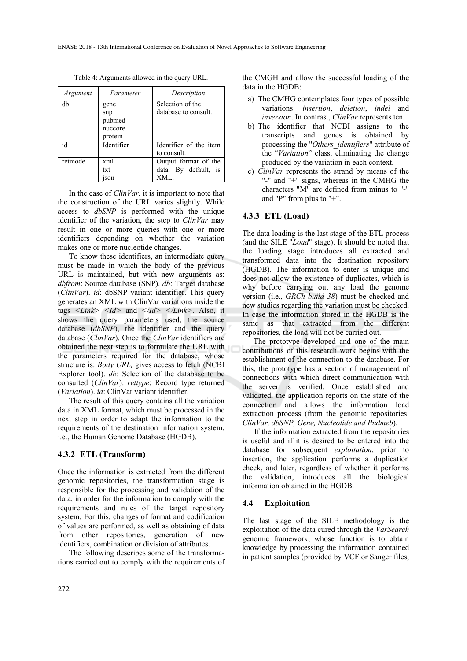| Argument | Parameter                                   | Description                                         |
|----------|---------------------------------------------|-----------------------------------------------------|
| db       | gene<br>snp<br>pubmed<br>nuccore<br>protein | Selection of the<br>database to consult.            |
| id       | Identifier                                  | Identifier of the item<br>to consult.               |
| retmode  | xml<br>txt<br>ıson                          | Output format of the<br>data. By default, is<br>XML |

Table 4: Arguments allowed in the query URL.

In the case of *ClinVar*, it is important to note that the construction of the URL varies slightly. While access to *dbSNP* is performed with the unique identifier of the variation, the step to *ClinVar* may result in one or more queries with one or more identifiers depending on whether the variation makes one or more nucleotide changes.

To know these identifiers, an intermediate query must be made in which the body of the previous URL is maintained, but with new arguments as: *dbfrom*: Source database (SNP). *db*: Target database (*ClinVar*). *id*: dbSNP variant identifier. This query generates an XML with ClinVar variations inside the tags *<Link> <Id>* and *</Id> </Link>*. Also, it shows the query parameters used, the source database (*dbSNP*), the identifier and the query database (*ClinVar*). Once the *ClinVar* identifiers are obtained the next step is to formulate the URL with the parameters required for the database, whose structure is: *Body URL*, gives access to fetch (NCBI Explorer tool). *db*: Selection of the database to be consulted (*ClinVar*). *rettype*: Record type returned (*Variation*). *id*: ClinVar variant identifier.

The result of this query contains all the variation data in XML format, which must be processed in the next step in order to adapt the information to the requirements of the destination information system, i.e., the Human Genome Database (HGDB).

#### **4.3.2 ETL (Transform)**

Once the information is extracted from the different genomic repositories, the transformation stage is responsible for the processing and validation of the data, in order for the information to comply with the requirements and rules of the target repository system. For this, changes of format and codification of values are performed, as well as obtaining of data from other repositories, generation of new identifiers, combination or division of attributes.

The following describes some of the transformations carried out to comply with the requirements of

the CMGH and allow the successful loading of the data in the HGDB:

- a) The CMHG contemplates four types of possible variations: *insertion*, *deletion*, *indel* and *inversion*. In contrast, *ClinVar* represents ten.
- b) The identifier that NCBI assigns to the transcripts and genes is obtained by processing the "*Others\_identifiers*" attribute of the "*Variation*" class, eliminating the change produced by the variation in each context.
- c) *ClinVar* represents the strand by means of the "-" and "+" signs, whereas in the CMHG the characters "M" are defined from minus to "-" and "P" from plus to "+".

#### **4.3.3 ETL (Load)**

The data loading is the last stage of the ETL process (and the SILE "*Load*" stage). It should be noted that the loading stage introduces all extracted and transformed data into the destination repository (HGDB). The information to enter is unique and does not allow the existence of duplicates, which is why before carrying out any load the genome version (i.e., *GRCh build 38*) must be checked and new studies regarding the variation must be checked. In case the information stored in the HGDB is the same as that extracted from the different repositories, the load will not be carried out.

The prototype developed and one of the main contributions of this research work begins with the establishment of the connection to the database. For this, the prototype has a section of management of connections with which direct communication with the server is verified. Once established and validated, the application reports on the state of the connection and allows the information load extraction process (from the genomic repositories: *ClinVar, dbSNP, Gene, Nucleotide and Pudmeb*).

If the information extracted from the repositories is useful and if it is desired to be entered into the database for subsequent *exploitation*, prior to insertion, the application performs a duplication check, and later, regardless of whether it performs the validation, introduces all the biological information obtained in the HGDB.

#### **4.4 Exploitation**

The last stage of the SILE methodology is the exploitation of the data cured through the *VarSearch* genomic framework, whose function is to obtain knowledge by processing the information contained in patient samples (provided by VCF or Sanger files,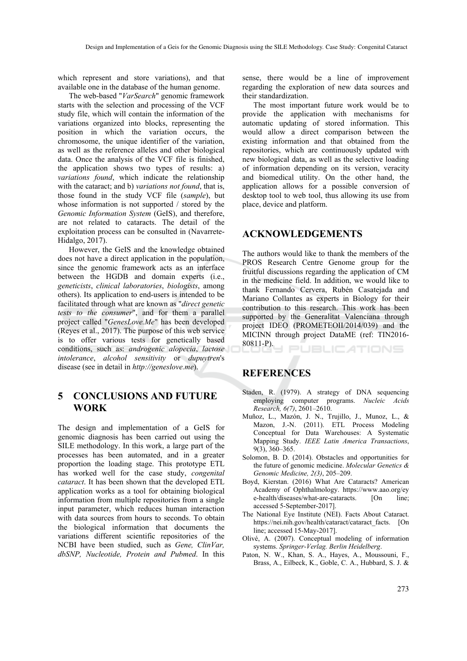which represent and store variations), and that available one in the database of the human genome.

The web-based "*VarSearch*" genomic framework starts with the selection and processing of the VCF study file, which will contain the information of the variations organized into blocks, representing the position in which the variation occurs, the chromosome, the unique identifier of the variation, as well as the reference alleles and other biological data. Once the analysis of the VCF file is finished, the application shows two types of results: a) *variations found*, which indicate the relationship with the cataract; and b) *variations not found*, that is, those found in the study VCF file (*sample*), but whose information is not supported / stored by the *Genomic Information System* (GeIS), and therefore, are not related to cataracts. The detail of the exploitation process can be consulted in (Navarrete-Hidalgo, 2017).

However, the GeIS and the knowledge obtained does not have a direct application in the population, since the genomic framework acts as an interface between the HGDB and domain experts (i.e., *geneticists*, *clinical laboratories*, *biologists*, among others). Its application to end-users is intended to be facilitated through what are known as "*direct genetic tests to the consumer*", and for them a parallel project called "*GenesLove.Me*" has been developed (Reyes et al., 2017). The purpose of this web service is to offer various tests for genetically based conditions, such as: *androgenic alopecia*, *lactose intolerance*, *alcohol sensitivity* or *dupuytren*'s disease (see in detail in *http://geneslove.me*).

## **5 CONCLUSIONS AND FUTURE WORK**

The design and implementation of a GeIS for genomic diagnosis has been carried out using the SILE methodology. In this work, a large part of the processes has been automated, and in a greater proportion the loading stage. This prototype ETL has worked well for the case study, *congenital cataract*. It has been shown that the developed ETL application works as a tool for obtaining biological information from multiple repositories from a single input parameter, which reduces human interaction with data sources from hours to seconds. To obtain the biological information that documents the variations different scientific repositories of the NCBI have been studied, such as *Gene, ClinVar, dbSNP, Nucleotide, Protein and Pubmed*. In this

sense, there would be a line of improvement regarding the exploration of new data sources and their standardization.

The most important future work would be to provide the application with mechanisms for automatic updating of stored information. This would allow a direct comparison between the existing information and that obtained from the repositories, which are continuously updated with new biological data, as well as the selective loading of information depending on its version, veracity and biomedical utility. On the other hand, the application allows for a possible conversion of desktop tool to web tool, thus allowing its use from place, device and platform.

## **ACKNOWLEDGEMENTS**

The authors would like to thank the members of the PROS Research Centre Genome group for the fruitful discussions regarding the application of CM in the medicine field. In addition, we would like to thank Fernando Cervera, Rubén Casatejada and Mariano Collantes as experts in Biology for their contribution to this research. This work has been supported by the Generalitat Valenciana through project IDEO (PROMETEOII/2014/039) and the MICINN through project DataME (ref: TIN2016- 80811-P).

**PUBLICATIONS** 

## **REFERENCES**

- Staden, R. (1979). A strategy of DNA sequencing employing computer programs. *Nucleic Acids Research, 6(7)*, 2601–2610.
- Muñoz, L., Mazón, J. N., Trujillo, J., Munoz, L., & Mazon, J.-N. (2011). ETL Process Modeling Conceptual for Data Warehouses: A Systematic Mapping Study. *IEEE Latin America Transactions*, 9(3), 360–365.
- Solomon, B. D. (2014). Obstacles and opportunities for the future of genomic medicine. *Molecular Genetics & Genomic Medicine, 2(3)*, 205–209.
- Boyd, Kierstan. (2016) What Are Cataracts? American Academy of Ophthalmology. https://www.aao.org/ey e-health/diseases/what-are-cataracts. [On line; accessed 5-September-2017].
- The National Eye Institute (NEI). Facts About Cataract. https://nei.nih.gov/health/cataract/cataract\_facts. [On line; accessed 15-May-2017].
- Olivé, A. (2007). Conceptual modeling of information systems. *Springer-Verlag. Berlin Heidelberg*.
- Paton, N. W., Khan, S. A., Hayes, A., Moussouni, F., Brass, A., Eilbeck, K., Goble, C. A., Hubbard, S. J. &